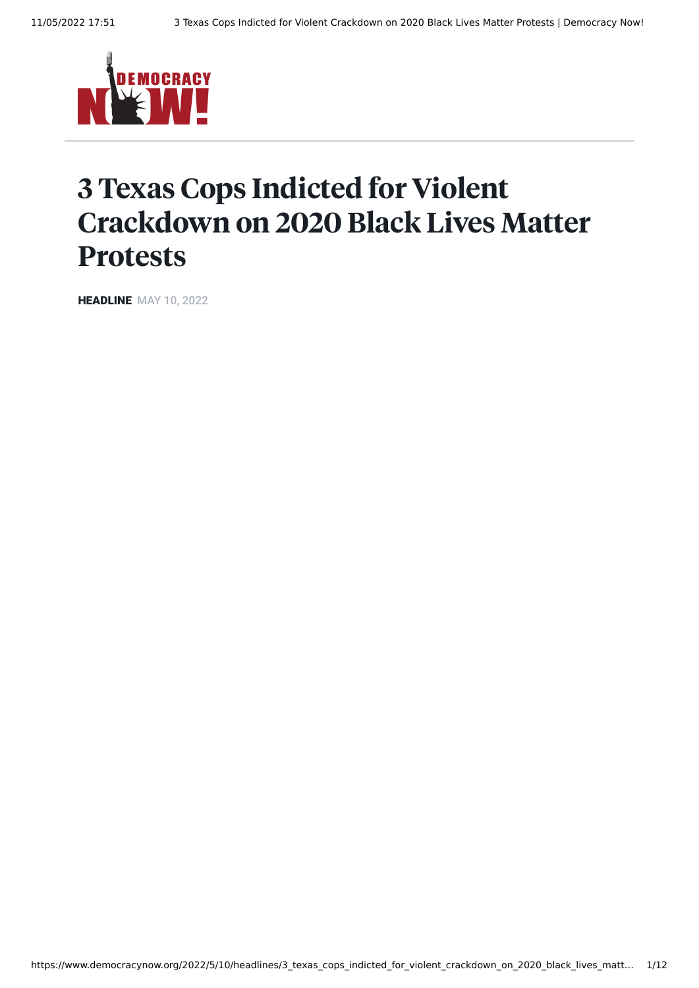

## 3 Texas Cops Indicted for Violent Crackdown on 2020 Black Lives Matter Protests

**HEADLINE** MAY 10, 2022